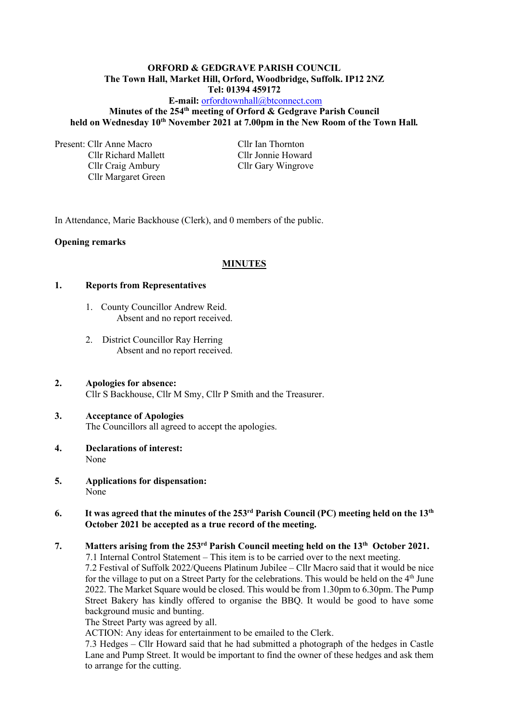#### **ORFORD & GEDGRAVE PARISH COUNCIL The Town Hall, Market Hill, Orford, Woodbridge, Suffolk. IP12 2NZ Tel: 01394 459172**

# **E-mail:** [orfordtownhall@btconnect.com](mailto:orfordtownhall@btconnect.com) **Minutes of the 254 th meeting of Orford & Gedgrave Parish Council held on Wednesday 10 th November 2021 at 7.00pm in the New Room of the Town Hall***.*

Present: Cllr Anne Macro Cllr Ian Thornton

Cllr Richard Mallett Cllr Jonnie Howard Cllr Craig Ambury Cllr Gary Wingrove Cllr Margaret Green

In Attendance, Marie Backhouse (Clerk), and 0 members of the public.

# **Opening remarks**

# **MINUTES**

# **1. Reports from Representatives**

- 1. County Councillor Andrew Reid. Absent and no report received.
- 2. District Councillor Ray Herring Absent and no report received.
- **2. Apologies for absence:** Cllr S Backhouse, Cllr M Smy, Cllr P Smith and the Treasurer.

# **3. Acceptance of Apologies** The Councillors all agreed to accept the apologies.

- **4. Declarations of interest:** None
- **5. Applications for dispensation:** None

# **6. It was agreed that the minutes of the 253 rd Parish Council (PC) meeting held on the 13th October 2021 be accepted as a true record of the meeting.**

# **7. Matters arising from the 253 rd Parish Council meeting held on the 13th October 2021.**

7.1 Internal Control Statement – This item is to be carried over to the next meeting.

7.2 Festival of Suffolk 2022/Queens Platinum Jubilee – Cllr Macro said that it would be nice for the village to put on a Street Party for the celebrations. This would be held on the 4<sup>th</sup> June 2022. The Market Square would be closed. This would be from 1.30pm to 6.30pm. The Pump Street Bakery has kindly offered to organise the BBQ. It would be good to have some background music and bunting.

The Street Party was agreed by all.

ACTION: Any ideas for entertainment to be emailed to the Clerk.

7.3 Hedges – Cllr Howard said that he had submitted a photograph of the hedges in Castle Lane and Pump Street. It would be important to find the owner of these hedges and ask them to arrange for the cutting.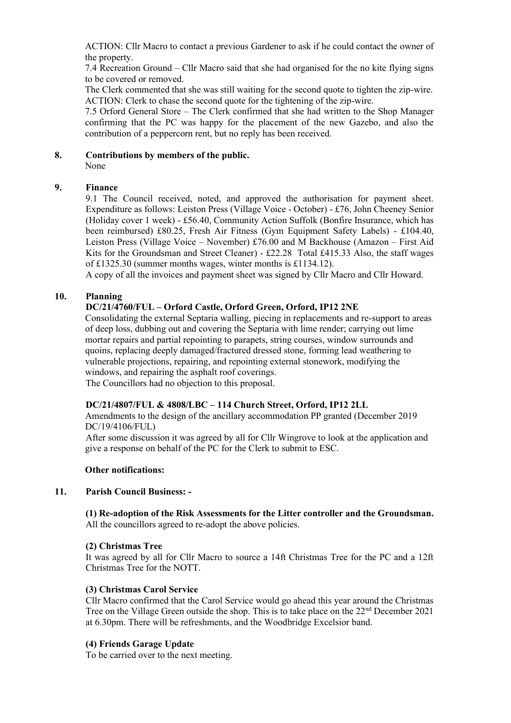ACTION: Cllr Macro to contact a previous Gardener to ask if he could contact the owner of the property.

7.4 Recreation Ground – Cllr Macro said that she had organised for the no kite flying signs to be covered or removed.

The Clerk commented that she was still waiting for the second quote to tighten the zip-wire. ACTION: Clerk to chase the second quote for the tightening of the zip-wire.

7.5 Orford General Store – The Clerk confirmed that she had written to the Shop Manager confirming that the PC was happy for the placement of the new Gazebo, and also the contribution of a peppercorn rent, but no reply has been received.

**8. Contributions by members of the public.**

None

# **9. Finance**

9.1 The Council received, noted, and approved the authorisation for payment sheet. Expenditure as follows: Leiston Press (Village Voice - October) - £76, John Cheeney Senior (Holiday cover 1 week) - £56.40, Community Action Suffolk (Bonfire Insurance, which has been reimbursed) £80.25, Fresh Air Fitness (Gym Equipment Safety Labels) - £104.40, Leiston Press (Village Voice – November) £76.00 and M Backhouse (Amazon – First Aid Kits for the Groundsman and Street Cleaner) - £22.28 Total £415.33 Also, the staff wages of £1325.30 (summer months wages, winter months is £1134.12).

A copy of all the invoices and payment sheet was signed by Cllr Macro and Cllr Howard.

# **10. Planning**

# **DC/21/4760/FUL – Orford Castle, Orford Green, Orford, IP12 2NE**

Consolidating the external Septaria walling, piecing in replacements and re-support to areas of deep loss, dubbing out and covering the Septaria with lime render; carrying out lime mortar repairs and partial repointing to parapets, string courses, window surrounds and quoins, replacing deeply damaged/fractured dressed stone, forming lead weathering to vulnerable projections, repairing, and repointing external stonework, modifying the windows, and repairing the asphalt roof coverings.

The Councillors had no objection to this proposal.

# **DC/21/4807/FUL & 4808/LBC – 114 Church Street, Orford, IP12 2LL**

Amendments to the design of the ancillary accommodation PP granted (December 2019 DC/19/4106/FUL)

After some discussion it was agreed by all for Cllr Wingrove to look at the application and give a response on behalf of the PC for the Clerk to submit to ESC.

#### **Other notifications:**

# **11. Parish Council Business: -**

**(1) Re-adoption of the Risk Assessments for the Litter controller and the Groundsman.** All the councillors agreed to re-adopt the above policies.

# **(2) Christmas Tree**

It was agreed by all for Cllr Macro to source a 14ft Christmas Tree for the PC and a 12ft Christmas Tree for the NOTT.

# **(3) Christmas Carol Service**

Cllr Macro confirmed that the Carol Service would go ahead this year around the Christmas Tree on the Village Green outside the shop. This is to take place on the 22<sup>nd</sup> December 2021 at 6.30pm. There will be refreshments, and the Woodbridge Excelsior band.

# **(4) Friends Garage Update**

To be carried over to the next meeting.